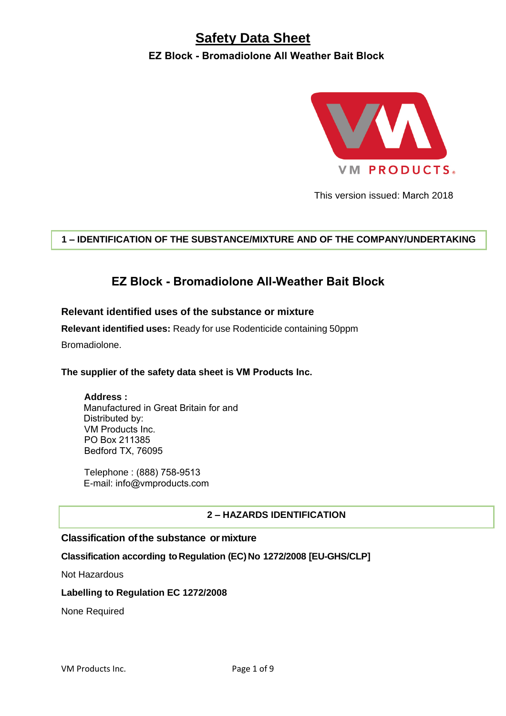# **Safety Data Sheet**

**EZ Block - Bromadiolone All Weather Bait Block**



This version issued: March 2018

# **1 – IDENTIFICATION OF THE SUBSTANCE/MIXTURE AND OF THE COMPANY/UNDERTAKING**

# **EZ Block - Bromadiolone All-Weather Bait Block**

## **Relevant identified uses of the substance or mixture**

**Relevant identified uses:** Ready for use Rodenticide containing 50ppm

Bromadiolone.

#### **The supplier of the safety data sheet is VM Products Inc.**

**Address :** 

Manufactured in Great Britain for and Distributed by: VM Products Inc. PO Box 211385 Bedford TX, 76095

Telephone : (888) 758-9513 E-mail: info@vmproducts.com

# **2 – HAZARDS IDENTIFICATION**

#### **Classification of the substance or mixture**

#### **Classification according to Regulation (EC) No 1272/2008 [EU-GHS/CLP]**

Not Hazardous

#### **Labelling to Regulation EC 1272/2008**

None Required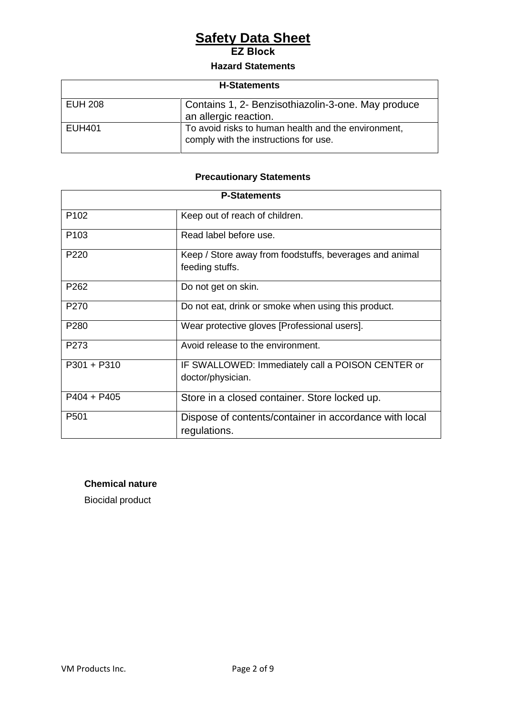# **Safety Data Sheet**

**EZ Block** 

## **Hazard Statements**

| <b>H-Statements</b> |                                                                                              |
|---------------------|----------------------------------------------------------------------------------------------|
| <b>EUH 208</b>      | Contains 1, 2- Benzisothiazolin-3-one. May produce<br>an allergic reaction.                  |
| <b>EUH401</b>       | To avoid risks to human health and the environment,<br>comply with the instructions for use. |

# **Precautionary Statements**

| <b>P-Statements</b> |                                                                            |
|---------------------|----------------------------------------------------------------------------|
| P <sub>102</sub>    | Keep out of reach of children.                                             |
| P <sub>103</sub>    | Read label before use.                                                     |
| P <sub>220</sub>    | Keep / Store away from foodstuffs, beverages and animal<br>feeding stuffs. |
| P <sub>262</sub>    | Do not get on skin.                                                        |
| P <sub>270</sub>    | Do not eat, drink or smoke when using this product.                        |
| P280                | Wear protective gloves [Professional users].                               |
| P273                | Avoid release to the environment.                                          |
| $P301 + P310$       | IF SWALLOWED: Immediately call a POISON CENTER or<br>doctor/physician.     |
| $P404 + P405$       | Store in a closed container. Store locked up.                              |
| P <sub>501</sub>    | Dispose of contents/container in accordance with local<br>regulations.     |

# **Chemical nature**

Biocidal product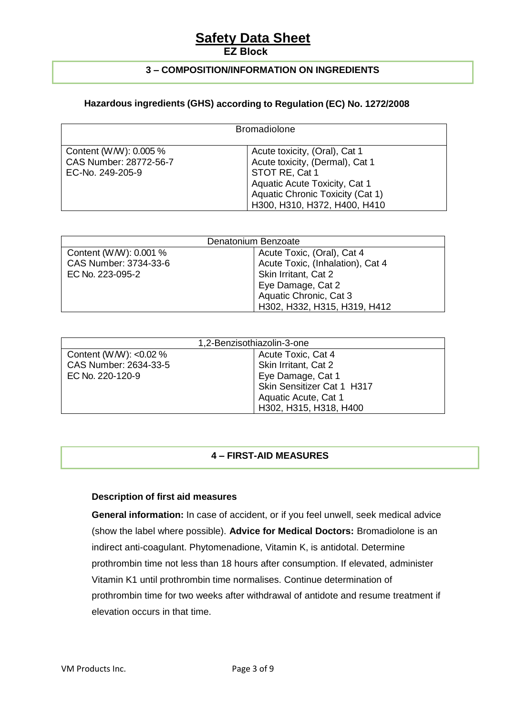# **Safety Data Sheet**

#### **EZ Block**

## **3 – COMPOSITION/INFORMATION ON INGREDIENTS**

## **Hazardous ingredients (GHS) according to Regulation (EC) No. 1272/2008**

| <b>Bromadiolone</b>                                                  |                                                                                                                                                                                         |
|----------------------------------------------------------------------|-----------------------------------------------------------------------------------------------------------------------------------------------------------------------------------------|
| Content (W/W): 0.005 %<br>CAS Number: 28772-56-7<br>EC-No. 249-205-9 | Acute toxicity, (Oral), Cat 1<br>Acute toxicity, (Dermal), Cat 1<br>STOT RE, Cat 1<br>Aquatic Acute Toxicity, Cat 1<br>Aquatic Chronic Toxicity (Cat 1)<br>H300, H310, H372, H400, H410 |

| Denatonium Benzoate    |                                  |
|------------------------|----------------------------------|
| Content (W/W): 0.001 % | Acute Toxic, (Oral), Cat 4       |
| CAS Number: 3734-33-6  | Acute Toxic, (Inhalation), Cat 4 |
| EC No. 223-095-2       | Skin Irritant, Cat 2             |
|                        | Eye Damage, Cat 2                |
|                        | Aquatic Chronic, Cat 3           |
|                        | H302, H332, H315, H319, H412     |

| 1,2-Benzisothiazolin-3-one |                            |  |
|----------------------------|----------------------------|--|
| Content (W/W): $< 0.02 \%$ | Acute Toxic, Cat 4         |  |
| CAS Number: 2634-33-5      | Skin Irritant, Cat 2       |  |
| EC No. 220-120-9           | Eye Damage, Cat 1          |  |
|                            | Skin Sensitizer Cat 1 H317 |  |
|                            | Aquatic Acute, Cat 1       |  |
|                            | H302, H315, H318, H400     |  |

# **4 – FIRST-AID MEASURES**

#### **Description of first aid measures**

**General information:** In case of accident, or if you feel unwell, seek medical advice (show the label where possible). **Advice for Medical Doctors:** Bromadiolone is an indirect anti-coagulant. Phytomenadione, Vitamin K, is antidotal. Determine prothrombin time not less than 18 hours after consumption. If elevated, administer Vitamin K1 until prothrombin time normalises. Continue determination of prothrombin time for two weeks after withdrawal of antidote and resume treatment if elevation occurs in that time.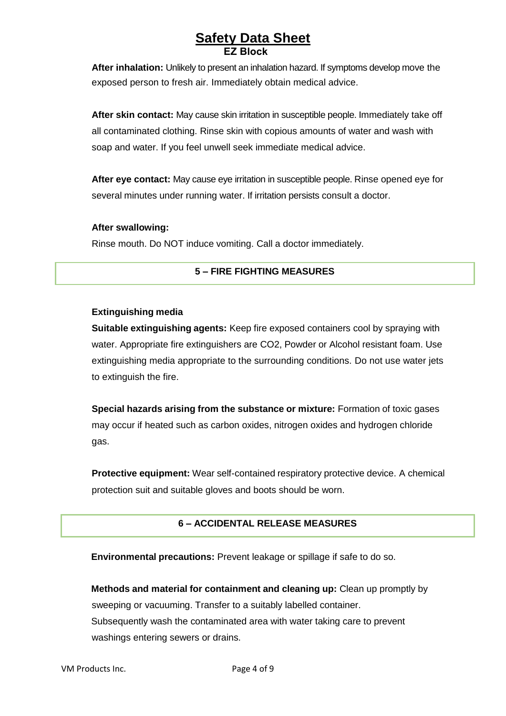**After inhalation:** Unlikely to present an inhalation hazard. If symptoms develop move the exposed person to fresh air. Immediately obtain medical advice.

**After skin contact:** May cause skin irritation in susceptible people. Immediately take off all contaminated clothing. Rinse skin with copious amounts of water and wash with soap and water. If you feel unwell seek immediate medical advice.

**After eye contact:** May cause eye irritation in susceptible people. Rinse opened eye for several minutes under running water. If irritation persists consult a doctor.

#### **After swallowing:**

Rinse mouth. Do NOT induce vomiting. Call a doctor immediately.

# **5 – FIRE FIGHTING MEASURES**

#### **Extinguishing media**

**Suitable extinguishing agents:** Keep fire exposed containers cool by spraying with water. Appropriate fire extinguishers are CO2, Powder or Alcohol resistant foam. Use extinguishing media appropriate to the surrounding conditions. Do not use water jets to extinguish the fire.

**Special hazards arising from the substance or mixture:** Formation of toxic gases may occur if heated such as carbon oxides, nitrogen oxides and hydrogen chloride gas.

**Protective equipment:** Wear self-contained respiratory protective device. A chemical protection suit and suitable gloves and boots should be worn.

#### **6 – ACCIDENTAL RELEASE MEASURES**

**Environmental precautions:** Prevent leakage or spillage if safe to do so.

**Methods and material for containment and cleaning up:** Clean up promptly by sweeping or vacuuming. Transfer to a suitably labelled container. Subsequently wash the contaminated area with water taking care to prevent washings entering sewers or drains.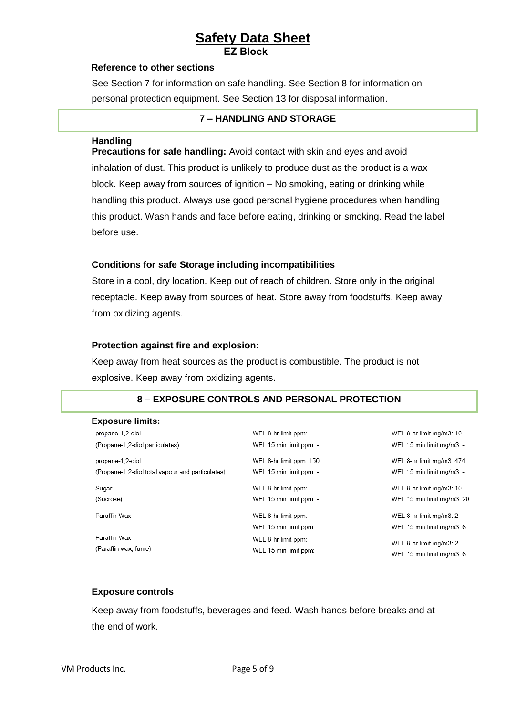#### **Reference to other sections**

See Section 7 for information on safe handling. See Section 8 for information on personal protection equipment. See Section 13 for disposal information.

#### **7 – HANDLING AND STORAGE**

#### **Handling**

**Precautions for safe handling:** Avoid contact with skin and eyes and avoid inhalation of dust. This product is unlikely to produce dust as the product is a wax block. Keep away from sources of ignition – No smoking, eating or drinking while handling this product. Always use good personal hygiene procedures when handling this product. Wash hands and face before eating, drinking or smoking. Read the label before use.

#### **Conditions for safe Storage including incompatibilities**

Store in a cool, dry location. Keep out of reach of children. Store only in the original receptacle. Keep away from sources of heat. Store away from foodstuffs. Keep away from oxidizing agents.

#### **Protection against fire and explosion:**

Keep away from heat sources as the product is combustible. The product is not explosive. Keep away from oxidizing agents.

#### **8 – EXPOSURE CONTROLS AND PERSONAL PROTECTION**

#### **Exposure limits:**

| ∟хроэчге шшкэ.                                   |                         |                            |
|--------------------------------------------------|-------------------------|----------------------------|
| propane-1,2-diol                                 | WEL 8-hr limit ppm: -   | WEL 8-hr limit mg/m3: 10   |
| (Propane-1,2-diol particulates)                  | WEL 15 min limit ppm: - | WEL 15 min limit mg/m3: -  |
| propane-1,2-diol                                 | WEL 8-hr limit ppm: 150 | WEL 8-hr limit mg/m3: 474  |
| (Propane-1,2-diol total vapour and particulates) | WEL 15 min limit ppm: - | WEL 15 min limit mg/m3: -  |
| Sugar                                            | WEL 8-hr limit ppm: -   | WEL 8-hr limit mg/m3: 10   |
| (Sucrose)                                        | WEL 15 min limit ppm: - | WEL 15 min limit mg/m3: 20 |
| Paraffin Wax                                     | WEL 8-hr limit ppm:     | WEL 8-hr limit mg/m3: 2    |
|                                                  | WEL 15 min limit ppm:   | WEL 15 min limit mg/m3: 6  |
| Paraffin Wax                                     | WEL 8-hr limit ppm: -   | WEL 8-hr limit mg/m3: 2    |
| (Paraffin wax, fume)                             | WEL 15 min limit ppm: - | WEL 15 min limit ma/m3: 6  |

#### **Exposure controls**

Keep away from foodstuffs, beverages and feed. Wash hands before breaks and at the end of work.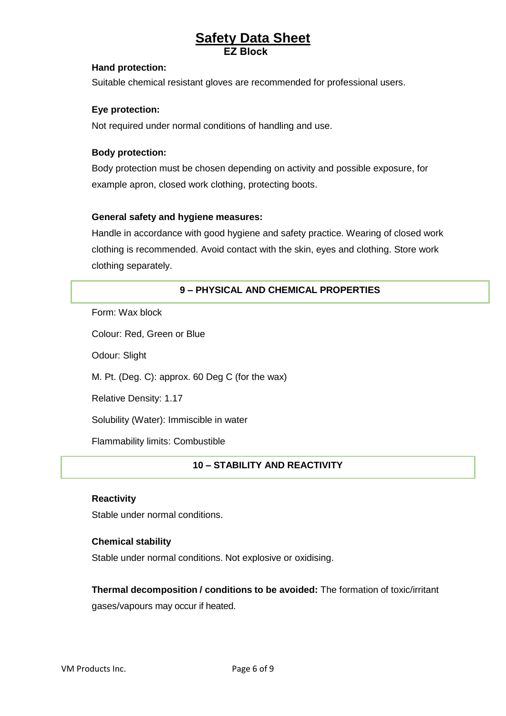#### **Hand protection:**

Suitable chemical resistant gloves are recommended for professional users.

#### **Eye protection:**

Not required under normal conditions of handling and use.

#### **Body protection:**

Body protection must be chosen depending on activity and possible exposure, for example apron, closed work clothing, protecting boots.

#### **General safety and hygiene measures:**

Handle in accordance with good hygiene and safety practice. Wearing of closed work clothing is recommended. Avoid contact with the skin, eyes and clothing. Store work clothing separately.

#### **9 – PHYSICAL AND CHEMICAL PROPERTIES**

Form: Wax block

Colour: Red, Green or Blue

Odour: Slight

M. Pt. (Deg. C): approx. 60 Deg C (for the wax)

Relative Density: 1.17

Solubility (Water): Immiscible in water

Flammability limits: Combustible

#### **10 – STABILITY AND REACTIVITY**

#### **Reactivity**

Stable under normal conditions.

#### **Chemical stability**

Stable under normal conditions. Not explosive or oxidising.

**Thermal decomposition / conditions to be avoided:** The formation of toxic/irritant gases/vapours may occur if heated.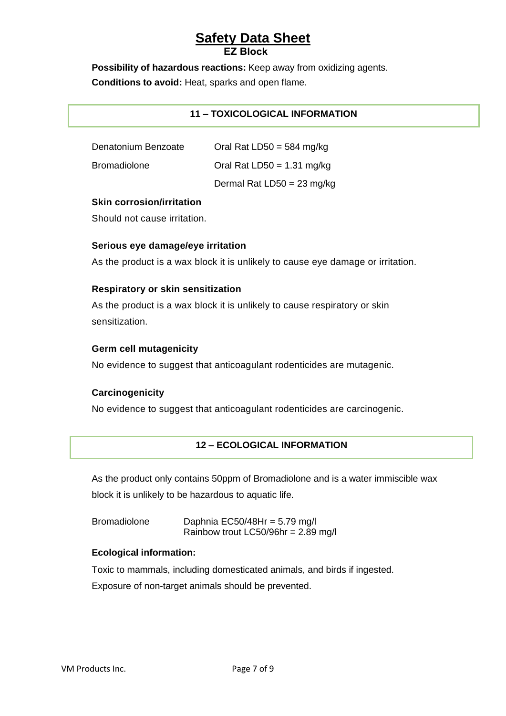**Possibility of hazardous reactions:** Keep away from oxidizing agents.

**Conditions to avoid:** Heat, sparks and open flame.

# **11 – TOXICOLOGICAL INFORMATION**

| Denatonium Benzoate | Oral Rat LD50 = $584 \text{ mg/kg}$ |
|---------------------|-------------------------------------|
| <b>Bromadiolone</b> | Oral Rat LD50 = $1.31$ mg/kg        |
|                     | Dermal Rat $LD50 = 23$ mg/kg        |

## **Skin corrosion/irritation**

Should not cause irritation.

## **Serious eye damage/eye irritation**

As the product is a wax block it is unlikely to cause eye damage or irritation.

## **Respiratory or skin sensitization**

As the product is a wax block it is unlikely to cause respiratory or skin sensitization.

#### **Germ cell mutagenicity**

No evidence to suggest that anticoagulant rodenticides are mutagenic.

# **Carcinogenicity**

No evidence to suggest that anticoagulant rodenticides are carcinogenic.

# **12 – ECOLOGICAL INFORMATION**

As the product only contains 50ppm of Bromadiolone and is a water immiscible wax block it is unlikely to be hazardous to aquatic life.

| <b>Bromadiolone</b> | Daphnia EC50/48Hr = $5.79$ mg/l       |
|---------------------|---------------------------------------|
|                     | Rainbow trout LC50/96hr = $2.89$ mg/l |

#### **Ecological information:**

Toxic to mammals, including domesticated animals, and birds if ingested. Exposure of non-target animals should be prevented.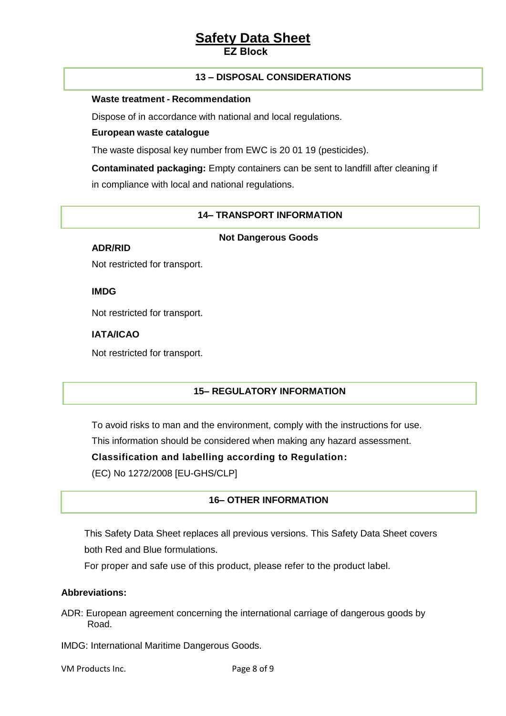#### **13 – DISPOSAL CONSIDERATIONS**

#### **Waste treatment - Recommendation**

Dispose of in accordance with national and local regulations.

#### **European waste catalogue**

The waste disposal key number from EWC is 20 01 19 (pesticides).

**Contaminated packaging:** Empty containers can be sent to landfill after cleaning if in compliance with local and national regulations.

#### **14– TRANSPORT INFORMATION**

#### **Not Dangerous Goods**

**ADR/RID** 

Not restricted for transport.

**IMDG** 

Not restricted for transport.

#### **IATA/ICAO**

Not restricted for transport.

# **15– REGULATORY INFORMATION**

To avoid risks to man and the environment, comply with the instructions for use.

This information should be considered when making any hazard assessment.

**Classification and labelling according to Regulation:** 

(EC) No 1272/2008 [EU-GHS/CLP]

#### **16– OTHER INFORMATION**

This Safety Data Sheet replaces all previous versions. This Safety Data Sheet covers both Red and Blue formulations.

For proper and safe use of this product, please refer to the product label.

#### **Abbreviations:**

ADR: European agreement concerning the international carriage of dangerous goods by Road.

IMDG: International Maritime Dangerous Goods.

VM Products Inc. The Page 8 of 9